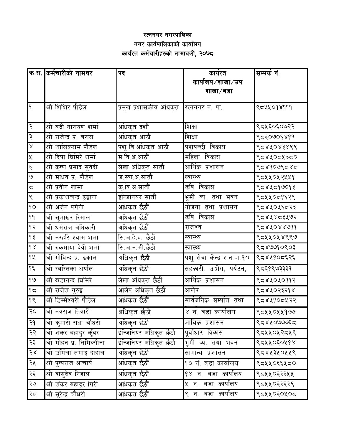## रत्ननगर नगरपाल<mark>ि</mark>का नगर कार्यपालिकाको कार्यालय <u>कार्यरत कर्मचारीहरुको नामावली, २०७८ </u>

|                         | क्र.स. किर्मचारीको नामथर          | पद                      | कार्यरत                            | सम्पर्क नं. |
|-------------------------|-----------------------------------|-------------------------|------------------------------------|-------------|
|                         |                                   |                         | कार्यालय⁄शाखा⁄उप                   |             |
|                         |                                   |                         | शाखा ∕ वडा                         |             |
|                         |                                   |                         |                                    |             |
| $\mathsf{P}$            | श्री शिशिर पौडेल                  | प्रमुख प्रशासकीय अधिकृत | रत्ननगर न. पा.                     | ९८५५०१४१११  |
| २                       | श्री बद्री नारायण शर्मा           | अधिकृत दशौ              | शिक्षा                             | ९८५६०६०७२२  |
| ३                       | श्री राजेन्द्र प्र. बराल          | अधिकृत आठौं             | शिक्षा                             | ९८६०७०६४११  |
| $\mathsf{R}$            | श्री शालिकराम पौडेल               | पशु वि.अधिकृत आठौं      | पशुपन्छी विकास                     | १८४४०४३४९९  |
| ৼ                       | श्री दिपा घिमिरे शर्मा            | म.वि.अ.आठौं             | महिला वि <i>का</i> स               | १८४५०८५३८०  |
| $\xi$                   | श्री कृष्ण प्रसाद सुवेदी          | लेखा अधिकृत सातौं       | आर्थि <i>क</i> प्रशासन             | १८४१०७९८४८  |
| $\mathcal{G}$           | श्री माधव प्र. पौडेल              | ज.स्वा.अ.सातौं          | स्वास्थ्य                          | ९८५५०५२५५१  |
| $\overline{5}$          | श्री प्रवीन लामा                  | <u>कृ.वि.अ.सातौं</u>    | <i>कृ</i> षि विकास                 | १८४५८१७०१३  |
| ९                       | <u>श्री प्रकाशचन्द्र ढुङ्गाना</u> | इन्जिनियर सातौं         | भूमी व्य. तथा भवन                  | ९८५५०८१६२९  |
| $\mathsf{q}\mathsf{o}$  | श्री अर्जुन पगेनी                 | अधिकृत छैठौं            | योजना तथा प्रशासन                  | ९८४५०५६८२३  |
| $\gamma\gamma$          | <u>श्री सुभाखर रिमाल</u>          | अधिकृत छैठौं            | <i>कृ</i> षि विकास                 | ९८४५४८३५७२  |
| $\varphi$               | श्री धर्मराज अधिकारी              | अधिकृत छैठौं            | राजश्व                             | 8588088666  |
| ۹₹                      | श्री नरहरि श्याम शर्मा            | सि.अ.हे.व. छैठौं        | स्वास्थ्य                          | ९८५५०५४९९७  |
| $\delta$                | श्री रुकमाया देवी शर्मा           | सि.अ.न.मी.छैठौं         | स्वास्थ्य                          | ८८४७७१०९०३  |
| qų                      | श्री गोविन्द प्र. ढकाल            | अधिकृत छैठौं            | पशु सेवा केन्द्र र.न.पा.१०         | ९८४५१०८६२६  |
| ۹६                      | श्री स्वस्तिका अर्याल             | अधिकृत छैठौं            | सहकारी, उद्योग, पर्यटन,            | ९८६१९७३३३१  |
| $\frac{1}{6}$           | श्री खडानन्द घिमिरे               | लेखा अधिकृत छैठौं       | <u>आर्थिक प्रशासन</u>              | १८४५०५०११२  |
| 95                      | श्री राजेश गुरुङ्ग                | आलेप अधिकृत छैठौं       | आलेप                               | १८४५०२३२१४  |
| $\frac{\delta}{\delta}$ | श्री डिम्मेश्वरी पौडेल            | अधिकृत छैठौं            | सार्वजनि <i>क</i> सम्पत्ति तथा     | ९८४५१०८५२२  |
| २०                      | श्री नवराज तिवारी                 | अधिकृत छैठौं            | ४ नं. वडा कार्यालय                 | ९८४४०५५१७७  |
| २१                      | श्री कुमारी राधा चौधरी            | अधिकृत छैठौं            | आर्थि <i>क</i> प्रशासन             | ८८४४०७७६८   |
| २२                      | <u>श्री शंकर बहादुर क</u> ुँवर    | ईन्जिनियर अधिकृत छैठौं  | पूर्वाधार विकास                    | ९८५५०५२८५९  |
| २३                      | श्री मोहन प्र. तिमिल्सीना         | ईन्जिनियर अधिकृत छैठौं  | <u>भ</u> ूमी व्य. तथा भवन          | ९८५५०६०५१४  |
| $58$                    | श्री उर्मिला तमाङ्ग दाहाल         | अधिकृत छैठौं            | सामान्य प्रशासन                    | ९८४५३५०५५९  |
| २५                      | श्री पुष्पराज आचार्य              | अधिकृत छैठौं            | १० नं. वडा कार्यालय                | ९८५५०६६५८०  |
| २६                      | श्री वासुदेव रिजाल                | अधिकृत छैठौं            | <i>१४</i> नं. वडा <i>का</i> र्यालय | ९८५५०६२३५५  |
| २७                      | श्री शंकर बहादुर गिरी             | अधिकृत छैठौं            | ५ नं. वडा <i>का</i> र्यालय         | ९८५५०६२६२९  |
| २८                      | श्री सुरेन्द्र चौधरी              | अधिकृत छैठौं            | ९ नं. वडा <i>का</i> र्यालय         | ९८५५०६०५०८  |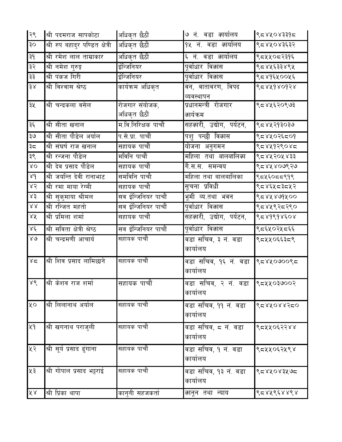| २९                     | श्री पदमराज सापकोटा             | अधिकृत छैठौं                   | ७ नं. वडा <i>का</i> र्यालय                | १८४५०४३३१८         |
|------------------------|---------------------------------|--------------------------------|-------------------------------------------|--------------------|
| ३०                     | श्री रुप बहादुर पण्डित क्षेत्री | अधिकृत छैठौं                   | १५ नं. वडा <i>का</i> र्यालय               | ९८४५०४३६३२         |
| ३१                     | श्री रमेश लाल ताम्राकार         | अधिकृत छैठौं                   | ६ नं. वडा <i>का</i> र्यालय                | ९८५५०८२३१६         |
| ३२                     | <u>श्री नमेश गु</u> रुङ्ग       | ईन्जिनियर                      | पूर्वाधार वि <i>का</i> स                  | ९८४५६३३४९५         |
| ३३                     | श्री पंकज गिरी                  | ईन्जिनियर                      | पूर्वाधार वि <i>का</i> स                  | ९८४१६५००५६         |
| $\frac{3}{x}$          | श्री विश्वास श्रेष्ठ            | कार्यक्रम अधिकृत               | वन, वातावरण, विपद<br>व्यवस्थापन           | 8588680658         |
| ३५                     | श्री चन्द्रकला वसेल             | रोजगार संयोजक,<br>अधिकृत छैठौं | प्रधानमन्त्री रोजगार<br><i>का</i> र्यक्रम | ९८४५६२०९७३         |
| ३६                     | श्री सीता खनाल                  | म.वि.निरिक्षक पाचौं            | सहकारी, उद्योग, पर्यटन,                   | १८४५२१३०३७         |
| ३७                     | श्री सीता पौडेल अर्याल          | प.से.प्रा. पाचौं               | पशु पन्छी विकास                           | ९८४५०२६८०१         |
| ३८                     | श्री संघर्ष राज खनाल            | सहायक पाचौं                    | <u>योजना</u> अनुगमन                       | १८४५१२९०४८         |
| ३९                     | श्री रन्जना पौडेल               | मविनि पाचौं                    | <u>महिला तथा बालबालिका</u>                | <u>९८४४२</u> ०५४३३ |
| $80^{\circ}$           | श्री देव प्रसाद पौडेल           | सहायक पाचौं                    | <u>गे.स.स. समन्वय</u>                     | ९८४५४०७९२७         |
| $\gamma$               | श्री जयन्ति देवी रानाभाट        | समविनि पाचौ                    | महिला तथा बालबालिका                       | ९८४६०८८९१९         |
| 85                     | श्री रमा माया रेग्मी            | सहायक पाचौं                    | सूचना प्रविधी                             | ९८४६५८३८५२         |
| x3                     | श्री सुकुमाया श्रीमल            | सव ईन्जिनियर पाचौं             | <u>भूमी व्य.त</u> था भवन                  | ८८४४ ४७१४००        |
| 88                     | श्री रन्जित महतो                | सव ईन्जिनियर पाचौं             | पूर्वाधार विकास                           | ९८४५९२८२९०         |
| 8X                     | श्री प्रमिला शर्मा              | सहायक पाचौं                    | सहकारी, उद्योग, पर्यटन,                   | १८४१९१४६०४         |
| $x \xi$                | श्री सविता क्षेत्री श्रेष्ठ     | सव ईन्जिनियर पाचौं             | <u>पूर्वाधार विकास</u>                    | ९८६५०२५८६६         |
| $80^{\circ}$           | श्री चन्द्रमणी आचार्य           | सहायक पाचौं                    | वडा सचिव, ३ नं. वडा<br>कार्यालय           | ९८५५०६६३८९         |
| 85                     | श्री शिव प्रसाद लामिछाने        | सहायक पाचौं                    | वडा सचिव, १६ नं. वडा<br>कार्यालय          | १८४५०७००९८         |
| ४९                     | श्री केशव राज शर्मा             | सहायक पाचौं                    | वडा सचिव, २ नं. वडा<br>कार्यालय           | १८४५०३७००२         |
| ५०                     | श्री लिलानाथ अर्याल             | सहायक पाचौं                    | वडा सचिव, ११ नं. वडा<br>कार्यालय          | <i>SERKORRSEO</i>  |
| ५१                     | श्री खगनाथ पराजुली              | सहायक पाचौं                    | वडा सचिव, ८ नं. वडा<br>कार्यालय           | ९८५५०६२२४४         |
| ५२                     | श्री सूर्य प्रसाद ढुंगाना       | सहायक पाचौं                    | वडा सचिव, १ नं. वडा<br>कार्यालय           | ९८५५०६२५९४         |
| ५३                     | श्री गोपाल प्रसाद भट्टराई       | सहायक पाचौं                    | वडा सचिव, १३ नं. वडा<br>कार्यालय          | १८४५०४३५७८         |
| $\tilde{\mathsf{X}}$ & | श्री प्रिंका थापा               | कानुनी सहजकर्ता                | <i>का</i> नून तथा न्याय                   | ९८४५९६४४९४         |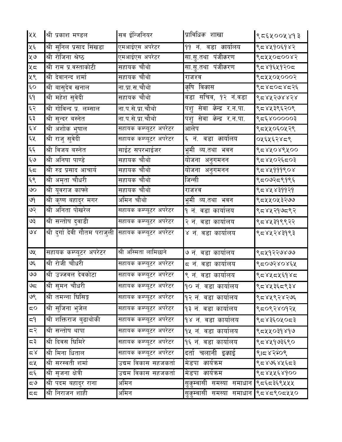| ५५                   | श्री प्रकाश मण्डल                                    | सव ईन्जिनियर           | प्राविधि <i>क</i> शाखा            | १८६५००५४१३  |
|----------------------|------------------------------------------------------|------------------------|-----------------------------------|-------------|
| ५६                   | श्री सुनिल प्रसाद सिंखडा                             | .<br>एमआईएस अपरेटर     | 99 नं. वडा <i>का</i> र्यालय       | ९८४५१०६१४२  |
| पू७                  | श्री रोजिना श्रेष्ठ                                  | एमआईएस अपरेटर          | सा.सु.तथा पंजी <i>क</i> रण        | ९८४०८००४२   |
| ५ $\epsilon$         | श्री राम प्र.वस्ताकोटी                               | सहायक चौथो             | सा.सु.तथा पंजीकरण                 | ९८४१६५१२०८  |
| ५९                   | श्री देवानन्द शर्मा                                  | सहायक चौथो             | राजश्व                            | ९८५५०५०००२  |
| $\epsilon$ o         | श्री बासुदेव खनाल                                    | ना प्रा.स.चौथो         | <i>कृ</i> षि विकास                | १८२४८०८४८२६ |
| ξ۹                   | श्री महेश सुवेदी                                     | सहायक चौथो             | वडा सचिव, १२ नं.वडा               | १८४४२७४४२४  |
| $\epsilon$           | श्री गोविन्द प्र. लम्साल                             | ना.प.से.प्रा.चौथो      | पशु सेवा केन्द्र र.न.पा.          | ९८४५३९६२०९  |
| $\xi$ $\xi$          | श्री सुन्दर बस्नेत                                   | ना.प.से.प्रा.चौथो      | पशु सेवा केन्द्र र.न.पा.          | १८६४०००००३  |
| $\xi \chi$           | श्री अशोक भुषाल                                      | सहायक कम्प्यूटर अपरेटर | आलेप                              | ९८५५०६०५२९  |
| ६५                   | श्री राजु सुवेदी                                     | सहायक कम्प्यूटर अपरेटर | ६ नं. वडा कार्यालय                | ०५६५६२४८९   |
| $\xi \xi$            | श्री विजय बस्नेत                                     | साईट सपरभाईजर          | भूमी व्य.तथा भवन                  | १८४५०४९५००  |
| ६७                   | श्री अनिषा पाण्डे                                    | सहायक चौथो             | <u>यो</u> जना अनुगमनन             | ९८४५०२६८०३  |
| $\xi$                | श्री रुद्र प्रसाद आचार्य                             | सहायक चौथो             | <u>योजना</u> अनुगमनन              | 8584999808  |
| ६९                   | श्री अमृता चौधरी                                     | सहायक चौथो             | जिन्सी                            | ९८०७२८९१९६  |
| $\infty$             | श्री यूवराज काफ्ले                                   | सहायक चौथो             | राजश्व                            | ८८४४४३११२१  |
| ७१                   | श्री कृष्ण बहादुर मगर                                | अमिन चौथो              | भूमी व्य.तथा भवन                  | ९८४४०५३२७७  |
| ५२                   | श्री अनिता पोखरेल                                    | सहायक कम्प्यूटर अपरेटर | १ नं. वडा कार्यालय                | ९८४५२१७८९२  |
| ६९                   | श्री सन्तोष दुवाडी                                   | सहायक कम्प्यूटर अपरेटर | २ नं. वडा कार्यालय                | ९८४५३१९९२२  |
| $\delta$             | श्री दुर्गा देवी गौतम पराजुली सहायक कम्प्यूटर अपरेटर |                        | ४ नं. वडा कार्यालय                | ९८४५२४३१९३  |
| ७५                   | सहायक कम्प्यूटर अपरेटर                               | श्री अस्मिता लामिछाने  | ७ नं. वडा कार्यालय                | ९८४१२२७४७७  |
| ७६                   | श्री रोजी चौधरी                                      | सहायक कम्प्यूटर अपरेटर | ८ नं. वडा कार्यालय                | १८०७२४०४६५  |
| ٯٯ                   | श्री उज्जवल देवकोटा                                  | सहायक कम्प्यूटर अपरेटर | ९ नं. वडा कार्यालय                | १८४५८५६१४८  |
| ಅದ                   | श्री सुमन चौधरी                                      | सहायक कम्प्यूटर अपरेटर | १० नं. वडा कार्यालय               | ९८४५३६८९३४  |
| ७९                   | श्री तमन्ना घिसिङ्ग                                  | सहायक कम्प्यूटर अपरेटर | १२ नं. वडा कार्यालय               | ९८४५९२४२७६  |
| $\sqrt{2}$           | श्री सुजिना भुजेल                                    | सहायक कम्प्यूटर अपरेटर | १३ नं. वडा कार्यालय               | ९८०९२४०१२५  |
| م 9                  | श्री शक्तिराज बुढाथोकी                               | सहायक कम्प्यूटर अपरेटर | १४ नं. वडा कार्यालय               | १८४३६०५०८३  |
| 55                   | श्री सन्तोष थापा                                     | सहायक कम्प्यूटर अपरेटर | १५ नं. वडा कार्यालय               | १८४४०३१४१७  |
| 57                   | श्री दिवस घिमिरे                                     | सहायक कम्प्यूटर अपरेटर | १६ नं. वडा कार्यालय               | ९८४५१७३६९०  |
| $\approx$            | श्री मिना धिताल                                      | सहायक कम्प्यूटर अपरेटर | दर्ता चलानी इकाई                  | 9048875     |
| 52                   | श्री सरस्वती शर्मा                                   | उद्यम विकास सहजकर्ता   | मेडपा <i>का</i> र्यक्रम           | ९८४७६४५६८३  |
| $\overline{\zeta}$ پ | श्री सृजना क्षेत्री                                  | उद्यम विकास सहजकर्ता   | मेडपा <i>का</i> र्यकम             | ९८४५५६४१००  |
| $\epsilon$           | श्री पदम बहादुर राना                                 | अमिन                   | सु <i>क्</i> म्वासी समस्या समाधान | ९८६८३६९५५५  |
| 55                   | श्री निराजन शाही                                     | अमिन                   | सु <i>क्</i> म्वासी समस्या समाधान | १८४८९०८५५०  |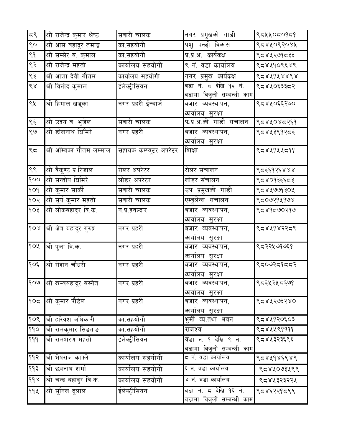| 55                   | श्री राजेन्द्र कुमार श्रेष्ठ  | सवारी चालक             | नगर प्रमुख <i>को</i> गाडी                                    | ९८५५०८०१८१ |
|----------------------|-------------------------------|------------------------|--------------------------------------------------------------|------------|
| ९०                   | श्री आस बहादुर तमाङ्ग         | का.सहयोगी              | पशु पन्छी विकास                                              | ९८४५०९२०४५ |
| ९१                   | श्री सम्सेर ब. कुमाल          | का.सहयोगी              | प्र.प्र.अ <i>. कार्यक</i> क्ष                                | ९८४५२७१८३३ |
| ९२                   | <u>श्री</u> राजेन्द्र महतो    | कार्यालय सहयोगी        | ९ नं. वडा कार्यालय                                           | ९८४५१०९६४९ |
| ९३                   | श्री आशा देवी गौतम            | कार्यालय सहयोगी        | नगर प्रमुख <i>कार्यक</i> क्ष                                 | १८४५१४४९४  |
| $\frac{1}{\sqrt{2}}$ | श्री विनोद कुमाल              | ईलेक्ट्रीसियन          | वडा नं. ८ देखि १६ नं.<br>वडामा विजूली सम्बन्धी काम           | ९८४५०६३३८२ |
| ९५                   | श्री हिमाल खड्का              | नगर प्रहरी ईन्चार्ज    | <i>ब</i> जार व्यवस्थापन,<br><i>का</i> र्या <u>लय सुरक्षा</u> | ९८४५०६६२७० |
| ९६                   | श्री उदय ब. भुजेल             | सवारी चालक             | प.प्र.अ.को गाडी संचालन                                       | १८४५०४८२६१ |
| ९७                   | श्री डोलनाथ घिमिरे            | नगर प्रहरी             | <i>ब</i> जार व्यवस्थापन,<br><i>का</i> र्यालय सुरक्षा         | ९८४५३९१२८६ |
| ९ $5$                | श्री अम्विका गौतम लम्साल      | सहायक कम्प्यूटर अपरेटर | शिक्षा                                                       | ९८४५१५५८११ |
| ९९                   | श्री वैकुण्ठ प्र.रिजाल        | रोलर अपरेटर            | रोलर संचालन                                                  | ९८६६१२६४४४ |
| qoo                  | श्री सन्तोष घिमिरे            | लोडर अपरेटर            | लोडर संचालन                                                  | ९८४०१३६६८३ |
| $\rho \circ \rho$    | श्री कुमार सार्की             | सवारी चालक             | उप प्रमुखको गाडी                                             | ८८४४७७१३०४ |
| १०२                  | श्री सूर्य कुमार महतो         | सवारी चालक             | एम्वुलेन्स संचालन                                            | १८०७२१५१७४ |
| 50P                  | श्री लोकबहादुर वि.क.          | न.प्र.हवल्दार          | <mark>बजार व्यवस्थापन,</mark><br><i>का</i> र्यालय सुरक्षा    | ९८४१८७०२१७ |
| $\delta$             | श्री क्षेत्र बहादुर गुरुङ्ग   | नगर प्रहरी             | <i>ब</i> जार व्यवस्थापन,<br><i>का</i> र्यालय सुरक्षा         | ९८४५१४२२८९ |
| goy                  | श्री पुजा वि.क.               | नगर प्रहरी             | <i>ब</i> जार व्यवस्थापन,<br><i>का</i> र्यालय <u>_सुरक्षा</u> | ९८२२५७१७६१ |
| १०६                  | श्री रोशन चौधरी               | नगर प्रहरी             | <i>ब</i> जार व्यवस्थापन,<br><i>का</i> र् <u>यालय सुरक्षा</u> | ९८०७२८१८८२ |
| १०७                  | ∥श्री खम्वबहाद्र बस्नेत       | नगर प्रहरी             | <i>ब</i> जार व्यवस्थापन,<br><i>का</i> र्यालय सुरक्षा         | ९८६५२५८६७१ |
| 905                  | श्री क् <b>मार पौडेल</b>      | नगर प्रहरी             | बजार व्यवस्थापन,<br><i>का</i> र्यालय सुरक्षा                 | ९८४५२७३२४० |
| 909                  | श्री हरिवंश अधिकारी           | का सहयोगी              | भूमी व्य.तथा भवन                                             | ९८४५१२०६०३ |
| 990                  | श्री रामकुमार सिङताङ          | का सहयोगी              | राजश्व                                                       | ९८४५५९११११ |
| 999                  | <mark>श्री रामशरण महतो</mark> | ईलेक्ट्रीसियन          | वडा नं. १ देखि ९ नं.<br>वडामा विजूली सम्बन्धी काम            | ९८४५३२३६९६ |
| ११२                  | श्री भेषराज काफ्ले            | कार्यालय सहयोगी        | ८ नं. वडा कार्यालय                                           | ९८४५१४६९४९ |
| 993                  | श्री छत्रनाथ शर्मा            | कार्यालय सहयोगी        | ६ नं. वडा कार्यालय                                           | १८४४०७३५९९ |
| $d d \lambda$        | श्री चन्द्र बहादुर बि.क.      | कार्यालय सहयोगी        | ४ नं. वडा कार्यालय                                           | ९८४५३२३२२५ |
| 99 4                 | श्री सुनिल दुलाल              | ईलेक्ट्रीसियन          | वडा नं. ८ देखि १६ नं.<br>वडामा विजूली सम्बन्धी काम           | ९८४६२२१८९९ |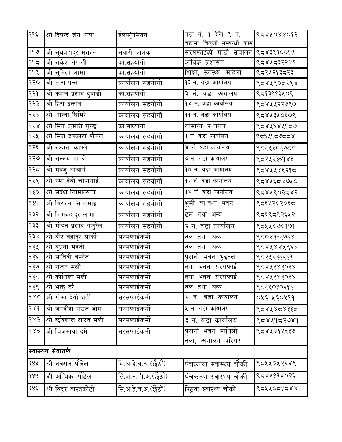| ११६                    | श्री दिपेन्द्र जंग थापा              | ईलेक्ट्रीसियन       | वडा नं. १ देखि ९ नं.<br>वडामा विजूली सम्बन्धी काम | 8588088095               |
|------------------------|--------------------------------------|---------------------|---------------------------------------------------|--------------------------|
| ११७                    | श्री सूर्यबहादुर मुक्तान             | सवारी चालक          | सरसफाईको गाडी संचालन ९८४३९१००११                   |                          |
| 995                    | श्री राकेश नेपाली                    | का सहयोगी           | आर्थि <i>क</i> प्रशासन                            | ९८४५८३२२४९               |
| 999                    | श्री सुनिता लामा                     | का सहयोगी           | शिक्षा, स्वास्थ्य, महिला                          | <mark>९८२</mark> ५२१३८२३ |
| १२०                    | श्री तारा पन्त                       | कार्यालय सहयोगी     | १३ नं. वडा कार्यालय                               | ९८४५९०८२९४               |
| 939                    | <mark>स्र</mark> ी कमल प्रसाद दुवाडी | का सहयोगी           | ३ नं. वडा <i>का</i> र्यालय                        | ९८१३९१३५०९               |
| १२२                    | श्री हिरा ढकाल                       | कार्यालय सहयोगी     | १४ नं. वडा कार्यालय                               | ९८४५५२२७९०               |
| १२३                    | श्री शान्ता धिमिरे                   | कार्यालय सहयोगी     | ११ नं. वडा कार्यालय                               | ९८४५३५०६०९               |
| $\delta$               | श्री मिन कुमारी गुरुङ्ग              | का.सहयोगी           | सामान्य प्रशासन                                   | ९८४५६४५१८७               |
| १२५                    | श्री मिरा देवकोटा पौडेल              | कार्यालय सहयोगी     | १ नं. वडा कार्यालय                                | १८२५१८७८८४               |
| १२६                    | श्री रञ्जना काफ्ले                   | कार्यालय सहयोगी     | ४ नं. वडा कार्यालय                                | ९८६५२०६७८८               |
| १२७                    | श्री सन्जय मार्भा                    | कार्यालय सहयोगी     | ७ नं. वडा कार्यालय                                | ९८२५२३६१४३               |
| १२८                    | श्री मञ्जु आचार्य                    | कार्यालय सहयोगी     | १० नं. वडा कार्यालय                               | ९८४५५४६२१८               |
| १२९                    | श्री रमा देवी चापागाई                | कार्यालय सहयोगी     | १२ नं. वडा कार्यालय                               | १८४५६८४७५०               |
| ogp                    | श्री संदेश तिमिल्सिना                | कार्यालय सहयोगी     | १४ नं. वडा कार्यालय                               | ९८४५९०२८४२               |
| P5P                    | श्री बिरजन सिं तमाङ्ग                | कार्यालय सहयोगी     | भूमी व्य.तथा भवन                                  | ९द६५२०२०६द               |
| 932                    | श्री भिमबहादुर लामा                  | कार्यालय सहयोगी     | ढल तथा अन्य                                       | ९८६९८९२६५२               |
| $55P$                  | श्री मोहन प्रसाद गजुरेल              | कार्यालय सहयोगी     | २ नं. वडा कार्यालय                                | ९८५४०७०१७१               |
| $\delta$               | श्री बीर बहादुर सार्की               | सरसफाईकर्मी         | ढल तथा अन्य                                       | ९८०४१३६७६४               |
| 93%                    | श्री बुधना महतो                      | सरसफाईकर्मी         | ढल तथा अन्य                                       | ९८४५४४५९६३               |
| 955                    | श्री सावित्री बस्नेत                 | सरसफाईकर्मी         | पुरानो भवन भुईतला                                 | ९८२५२३६२६१               |
| 930                    | श्री राजन मली                        | सरसफाईकर्मी         | नया भवन सरसफाई                                    | ८८४५३४३०३४               |
| १३ $\overline{\sigma}$ | श्री कोशिला मली                      | सरसफाईकर्मी         | नया भवन सरसफाई                                    | १८४५३४३०३४               |
| १३९                    | श्री भक्तु दर <del>े</del>           | सरसफाईकर्मी         | ढल तथा अन्य                                       | ९८६५०१०६१६               |
| $\delta$               | श्री गोमा देवी घर्ती                 | सरसफाईकर्मी         | २ नं. वडा कार्यालय                                | ०५६-५६०५११               |
| $d\lambda d$           | श्री जगदीश राउत डोम                  | सरसफाईकर्मी         | ५ नं. वडा कार्यालय                                | १८४५४८४३३८               |
| $\delta$               | श्री छविलाल राउत मली                 | सरसफाईकर्मी         | ३ नं. वडा कार्यालय                                | १८७५२८२७४१               |
| 983                    | श्री चिजमाया दमै                     | सरसफाईकर्मी         | पुरानो भवन माथिलो<br>तला, <i>का</i> र्यालय परिसर  | ९८४५४१५६३७               |
|                        | <u>स्वास्थ्य सेवातर्फ</u>            |                     |                                                   |                          |
| 888                    | श्री नवराज पौडेल                     | सि.अ.हे.ब.अ.(छेठौं) | पंचकन्या स्वास्थ्य चौकी                           | ९८५५०५२२४९               |
| १४५                    | श्री अम्बिका पौडेल                   | सि.अ.न.मी.अ.(छेठों) | पंचकन्या स्वास्थ्य चौकी                           | ९८४५११४०२६               |
| १४६                    | श्री विदुर वास्तकोटी                 | सि.अ.हे.ब.अ.(छेठौं) | पिठ्वा स्वास्थ्य चौकी                             | १८४२०८१८४४               |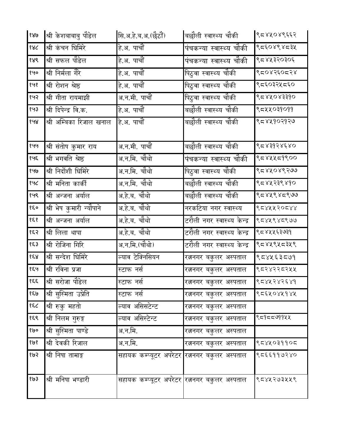| १४७     | श्री केशबाबाबु पौडेल     | सि.अ.हे.ब.अ.(छेठौं)                                       | बछौली स्वास्थ्य चौकी        | १८४५०४९६६२         |
|---------|--------------------------|-----------------------------------------------------------|-----------------------------|--------------------|
| 88८     | श्री कंचन घिमिरे         | हे.अ. पाचौं                                               | पंचकन्या स्वास्थ्य चौकी     | १८२४९४८३५          |
| १४९     | श्री सफल पौडेल           | हे.अ. पाचौं                                               | पंचकन्या स्वास्थ्य चौकी     | १८४५३२०३०६         |
| १५०     | श्री निर्मला गैरे        | हे.अ. पाचौं                                               | पिठुवा स्वास्थ्य चौकी       | ९८०४२६०८२४         |
| १५१     | श्री रोशन श्रेष्ठ        | हे.अ. पाचौं                                               | पिठुवा स्वास्थ्य चौकी       | ९द६०३२५द६०         |
| १५२     | श्री गीता रायमाझी        | अ.न.मी. पाचौं                                             | पिठ्वा स्वास्थ्य चौकी       | <u>८८४४०४३३१०</u>  |
| १५३     | श्री दिपेन्द्र वि.क.     | हे.अ. पाचौं                                               | बछौली स्वास्थ्य चौकी        | ९८४४०३१०११         |
| १५४     | श्री अम्बिका रिजाल खनाल  | हे.अ. पाचौं                                               | बछौली स्वास्थ्य चौकी        | ९८४५१०२१२७         |
| १५५     | श्री संतोष कुमार राय     | अ.न.मी. पाचौं                                             | बछौली स्वास्थ्य चौकी        | १८४३१२४६४०         |
| १५६     | श्री भगवति श्रेष्ठ       | अ.न.मि. चौथो                                              | पंचकन्या स्वास्थ्य चौकी     | ९८४५५८१९००         |
| १७७     | श्री निर्दोशी घिमिरे     | अ.न.मि. चौथो                                              | पिठ्वा स्वास्थ्य चौकी       | ९८४४०४९२७७         |
| १५८     | श्री मनिता कार्की        | अ.न.मि. चौथो                                              | बछौली स्वास्थ्य चौकी        | <u>९८४५२३९</u> ४१० |
| १५९     | श्री अन्जना अर्याल       | अ.हे.ब. चौथो                                              | बछौली स्वास्थ्य चौकी        | ९८४५९४८९७७         |
| १६०     | श्री भेष कुमारी न्यौपाने | अ.हे.ब. चौथो                                              | नरकटिया नगर स्वास्थ्य       | १८४५५२०८४४         |
| 959     | श्री अन्जना अर्याल       | अ.हे.ब. चौथो                                              | टरौली नगर स्वास्थ्य केन्द्र | ९८४५९४८९७७         |
| १६२     | श्री लिला थापा           | अ.हे.ब. चौथो                                              | टरौली नगर स्वास्थ्य केन्द्र | ९८४५५६३७३१         |
| $\xi$ 3 |                          | अ.न.मि.(चौथो)                                             | टरौली नगर स्वास्थ्य केन्द्र | ९८४५९५८३५९         |
|         | श्री रोजिना गिरि         |                                                           |                             |                    |
| 858     | श्री सन्देश घिमिरे       | ल्याव टेक्निसियन                                          | रत्ननगर बकुलर अस्पताल       | ९८४५६३८७१          |
| १६५     | श्री रविना प्रजा         | स्टाफ नर्स                                                | रत्ननगर बकुलर अस्पताल       | ९८२४२२८२५५         |
| १६६     | श्री सरोजा पौडेल         | स्टाफ नर्स                                                | रत्ननगर बकुलर अस्पताल       | 6588585886         |
| १६७     | श्री सुस्मिता उप्रेति    | स्टाफ नर्स                                                | रत्ननगर बकुलर अस्पताल       | १८६५०४५१४५         |
| १६८     | श्री रुकू महतो           | ल्याव असिसटेन्ट                                           | रत्ननगर बकुलर अस्पताल       |                    |
| १६९     | श्री निलम गुरुङ्ग        | ल्याव असिस्टेन्ट                                          | रत्ननगर बकुलर अस्पताल       | ९८१८८७११५५         |
| १७०     | श्री सुस्मिता पाण्डे     | अ.न.मि.                                                   | रत्ननगर बकुलर अस्पताल       |                    |
| १७१     | श्री देवकी रिजाल         | अ.न.मि.                                                   | रत्ननगर बकुलर अस्पताल       | ९८४५०३११०८         |
| १७२     | श्री निषा तामाङ्ग        | सहायक कम्प्यूटर अपरेटर <mark>रत्ननगर बकुलर अस्पताल</mark> |                             | ९८६६११७२४०         |